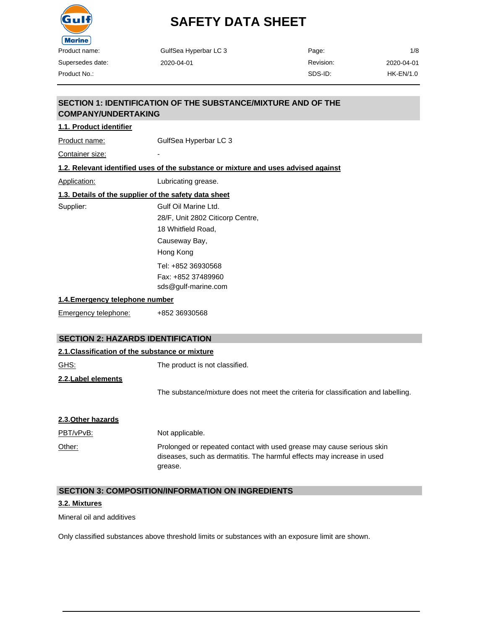

| Product name:              | GulfSea Hyperbar LC 3                                                              | Page:     | 1/8              |
|----------------------------|------------------------------------------------------------------------------------|-----------|------------------|
| Supersedes date:           | 2020-04-01                                                                         | Revision: | 2020-04-01       |
| Product No.:               |                                                                                    | SDS-ID:   | <b>HK-EN/1.0</b> |
| <b>COMPANY/UNDERTAKING</b> | SECTION 1: IDENTIFICATION OF THE SUBSTANCE/MIXTURE AND OF THE                      |           |                  |
| 1.1. Product identifier    |                                                                                    |           |                  |
| Product name:              | GulfSea Hyperbar LC 3                                                              |           |                  |
| Container size:            |                                                                                    |           |                  |
|                            | 1.2. Relevant identified uses of the substance or mixture and uses advised against |           |                  |
| Application:               | Lubricating grease.                                                                |           |                  |
|                            | 1.3. Details of the supplier of the safety data sheet                              |           |                  |
| Supplier:                  | Gulf Oil Marine Ltd.                                                               |           |                  |
|                            | 28/F, Unit 2802 Citicorp Centre,                                                   |           |                  |
|                            | 18 Whitfield Road,                                                                 |           |                  |

**1.4.Emergency telephone number**

Emergency telephone: +852 36930568

# **SECTION 2: HAZARDS IDENTIFICATION**

| 2.1. Classification of the substance or mixture |                                                                                                                                                            |
|-------------------------------------------------|------------------------------------------------------------------------------------------------------------------------------------------------------------|
| GHS:                                            | The product is not classified.                                                                                                                             |
| 2.2. Label elements                             |                                                                                                                                                            |
|                                                 | The substance/mixture does not meet the criteria for classification and labelling.                                                                         |
|                                                 |                                                                                                                                                            |
| 2.3. Other hazards                              |                                                                                                                                                            |
| PBT/vPvB:                                       | Not applicable.                                                                                                                                            |
| Other:                                          | Prolonged or repeated contact with used grease may cause serious skin<br>diseases, such as dermatitis. The harmful effects may increase in used<br>grease. |

### **SECTION 3: COMPOSITION/INFORMATION ON INGREDIENTS**

Causeway Bay, Hong Kong

Tel: +852 36930568 Fax: +852 37489960 [sds@gulf-marine.com](mailto:sds@gulf-marine.com)

### **3.2. Mixtures**

Mineral oil and additives

Only classified substances above threshold limits or substances with an exposure limit are shown.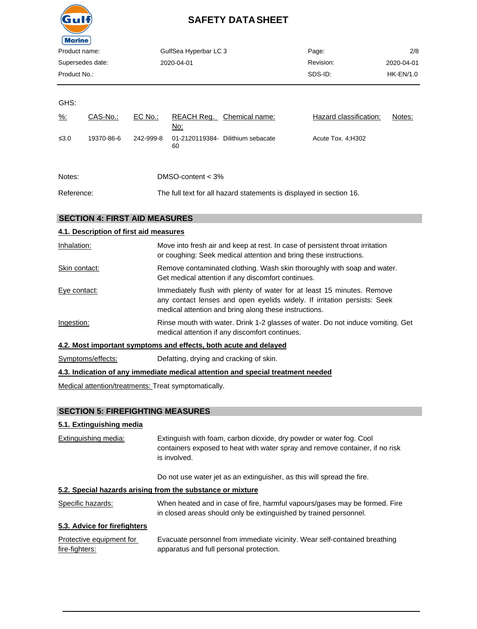

| Product name:    | GulfSea Hyperbar LC 3 | Page:     | 2/8         |
|------------------|-----------------------|-----------|-------------|
| Supersedes date: | 2020-04-01            | Revision: | 2020-04-01  |
| Product No.:     |                       | SDS-ID:   | $HK-EN/1.0$ |

GHS:

| $\frac{9}{6}$ : | CAS-No.:   | EC No.:   | REACH Reg.<br>No:   | Chemical name:                    | Hazard classification: | Notes: |
|-----------------|------------|-----------|---------------------|-----------------------------------|------------------------|--------|
| $\leq 3.0$      | 19370-86-6 | 242-999-8 | 60                  | 01-2120119384- Dilithium sebacate | Acute Tox. 4; H302     |        |
| Notes:          |            |           | DMSO-content $<$ 3% |                                   |                        |        |

| Reference: | The full text for all hazard statements is displayed in section 16. |
|------------|---------------------------------------------------------------------|

# **SECTION 4: FIRST AID MEASURES**

# **4.1. Description of first aid measures**

| Inhalation:   | Move into fresh air and keep at rest. In case of persistent throat irritation<br>or coughing: Seek medical attention and bring these instructions.                                                          |
|---------------|-------------------------------------------------------------------------------------------------------------------------------------------------------------------------------------------------------------|
| Skin contact: | Remove contaminated clothing. Wash skin thoroughly with soap and water.<br>Get medical attention if any discomfort continues.                                                                               |
| Eye contact:  | Immediately flush with plenty of water for at least 15 minutes. Remove<br>any contact lenses and open eyelids widely. If irritation persists: Seek<br>medical attention and bring along these instructions. |
| Ingestion:    | Rinse mouth with water. Drink 1-2 glasses of water. Do not induce vomiting. Get<br>medical attention if any discomfort continues.                                                                           |
|               |                                                                                                                                                                                                             |

### **4.2. Most important symptoms and effects, both acute and delayed**

Symptoms/effects: Defatting, drying and cracking of skin.

### **4.3. Indication of any immediate medical attention and special treatment needed**

Medical attention/treatments: Treat symptomatically.

# **SECTION 5: FIREFIGHTING MEASURES**

### **5.1. Extinguishing media**

Extinguishing media: Extinguish with foam, carbon dioxide, dry powder or water fog. Cool containers exposed to heat with water spray and remove container, if no risk is involved.

Do not use water jet as an extinguisher, as this will spread the fire.

# **5.2. Special hazards arising from the substance or mixture**

| Specific hazards: | When heated and in case of fire, harmful vapours/gases may be formed. Fire |
|-------------------|----------------------------------------------------------------------------|
|                   | in closed areas should only be extinguished by trained personnel.          |

# **5.3. Advice for firefighters**

| Protective equipment for | Evacuate personnel from immediate vicinity. Wear self-contained breathing |
|--------------------------|---------------------------------------------------------------------------|
| fire-fighters:           | apparatus and full personal protection.                                   |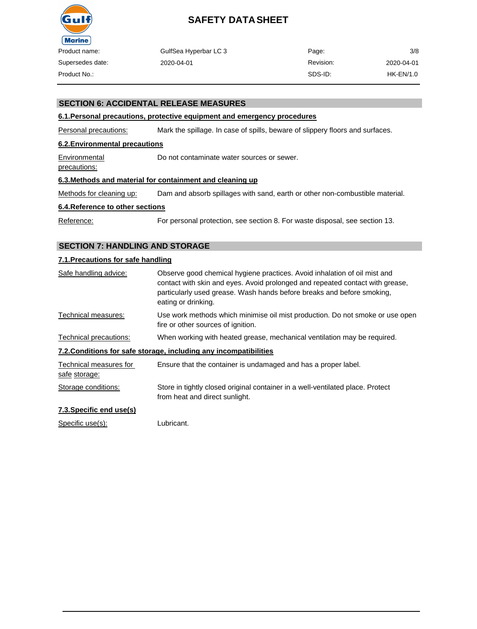

| duct name:     | GulfSea Hyperbar LC 3 | Page:     | 3/8        |
|----------------|-----------------------|-----------|------------|
| persedes date: | 2020-04-01            | Revision: | 2020-04-01 |
| duct No.:      |                       | SDS-ID:   | HK-EN/1.0  |

### **SECTION 6: ACCIDENTAL RELEASE MEASURES**

### **6.1.Personal precautions, protective equipment and emergency procedures**

Personal precautions: Mark the spillage. In case of spills, beware of slippery floors and surfaces.

### **6.2.Environmental precautions**

Environmental Do not contaminate water sources or sewer.

precautions:

#### **6.3.Methods and material for containment and cleaning up**

Methods for cleaning up: Dam and absorb spillages with sand, earth or other non-combustible material.

#### **6.4.Reference to other sections**

Reference: For personal protection, see section 8. For waste disposal, see section 13.

### **SECTION 7: HANDLING AND STORAGE**

### **7.1.Precautions for safe handling**

| Safe handling advice:                   | Observe good chemical hygiene practices. Avoid inhalation of oil mist and<br>contact with skin and eyes. Avoid prolonged and repeated contact with grease,<br>particularly used grease. Wash hands before breaks and before smoking,<br>eating or drinking. |
|-----------------------------------------|-------------------------------------------------------------------------------------------------------------------------------------------------------------------------------------------------------------------------------------------------------------|
| Technical measures:                     | Use work methods which minimise oil mist production. Do not smoke or use open<br>fire or other sources of ignition.                                                                                                                                         |
| Technical precautions:                  | When working with heated grease, mechanical ventilation may be required.                                                                                                                                                                                    |
|                                         | 7.2. Conditions for safe storage, including any incompatibilities                                                                                                                                                                                           |
| Technical measures for<br>safe storage: | Ensure that the container is undamaged and has a proper label.                                                                                                                                                                                              |
| Storage conditions:                     | Store in tightly closed original container in a well-ventilated place. Protect<br>from heat and direct sunlight.                                                                                                                                            |
| 7.3. Specific end use(s)                |                                                                                                                                                                                                                                                             |

Specific use(s): Lubricant.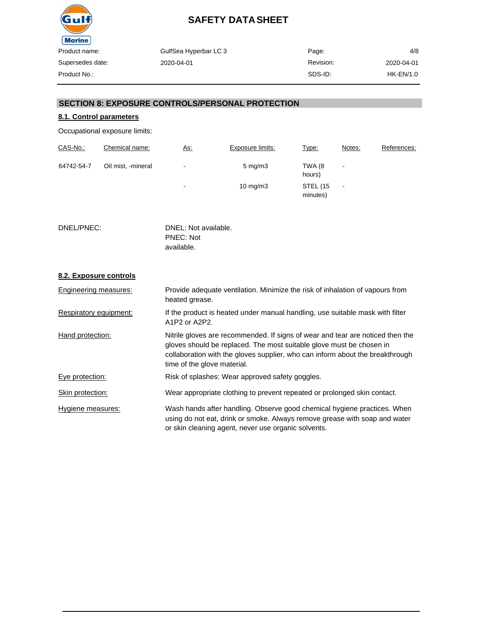

| GulfSea Hyperbar LC 3 | Page:     | 4/8         |
|-----------------------|-----------|-------------|
| 2020-04-01            | Revision: | 2020-04-01  |
|                       | SDS-ID:   | $HK-EN/1.0$ |
|                       |           |             |

# **SECTION 8: EXPOSURE CONTROLS/PERSONAL PROTECTION**

# **8.1. Control parameters**

Occupational exposure limits:

| CAS-No.:   | Chemical name:     | <u>As:</u> | Exposure limits: | Type:                       | Notes:         | References: |
|------------|--------------------|------------|------------------|-----------------------------|----------------|-------------|
| 64742-54-7 | Oil mist, -mineral | ۰.         | $5 \text{ mg/m}$ | TWA (8<br>hours)            |                |             |
|            |                    | ٠          | 10 mg/m $3$      | <b>STEL (15</b><br>minutes) | $\blacksquare$ |             |

DNEL/PNEC: DNEL: Not available. PNEC: Not available.

# **8.2. Exposure controls**

| Engineering measures:  | Provide adequate ventilation. Minimize the risk of inhalation of vapours from<br>heated grease.                                                                                                                                                                        |
|------------------------|------------------------------------------------------------------------------------------------------------------------------------------------------------------------------------------------------------------------------------------------------------------------|
| Respiratory equipment: | If the product is heated under manual handling, use suitable mask with filter<br>A1P2 or A2P2.                                                                                                                                                                         |
| Hand protection:       | Nitrile gloves are recommended. If signs of wear and tear are noticed then the<br>gloves should be replaced. The most suitable glove must be chosen in<br>collaboration with the gloves supplier, who can inform about the breakthrough<br>time of the glove material. |
| Eye protection:        | Risk of splashes: Wear approved safety goggles.                                                                                                                                                                                                                        |
| Skin protection:       | Wear appropriate clothing to prevent repeated or prolonged skin contact.                                                                                                                                                                                               |
| Hygiene measures:      | Wash hands after handling. Observe good chemical hygiene practices. When<br>using do not eat, drink or smoke. Always remove grease with soap and water<br>or skin cleaning agent, never use organic solvents.                                                          |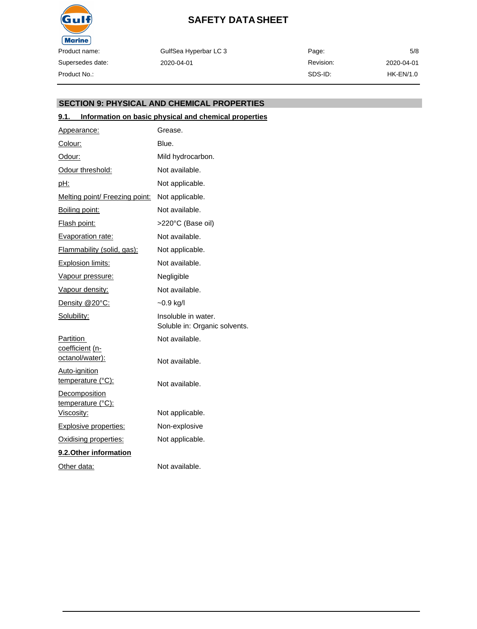

GulfSea Hyperbar LC 3 2020-04-01

Page: Revision: SDS-ID: 5/8 2020-04-01 HK-EN/1.0

# **SECTION 9: PHYSICAL AND CHEMICAL PROPERTIES**

### **9.1. Information on basic physical and chemical properties**

| Appearance:                               | Grease.                                              |
|-------------------------------------------|------------------------------------------------------|
| <u>Colour:</u>                            | Blue.                                                |
| Odour:                                    | Mild hydrocarbon.                                    |
| Odour threshold:                          | Not available.                                       |
| pH:                                       | Not applicable.                                      |
| Melting point/ Freezing point:            | Not applicable.                                      |
| Boiling point:                            | Not available.                                       |
| <b>Flash point:</b>                       | >220°C (Base oil)                                    |
| Evaporation rate:                         | Not available.                                       |
| Flammability (solid, gas):                | Not applicable.                                      |
| <b>Explosion limits:</b>                  | Not available.                                       |
| Vapour pressure:                          | Negligible                                           |
| Vapour density:                           | Not available.                                       |
| Density @20°C:                            | $-0.9$ kg/l                                          |
| Solubility:                               | Insoluble in water.<br>Soluble in: Organic solvents. |
| Partition                                 | Not available.                                       |
| <u>coefficient (n-</u><br>octanol/water): | Not available.                                       |
| Auto-ignition<br>temperature (°C):        | Not available.                                       |
| Decomposition<br>temperature (°C):        |                                                      |
| Viscosity:                                | Not applicable.                                      |
| <b>Explosive properties:</b>              | Non-explosive                                        |
| Oxidising properties:                     | Not applicable.                                      |
| 9.2. Other information                    |                                                      |
| Other data:                               | Not available.                                       |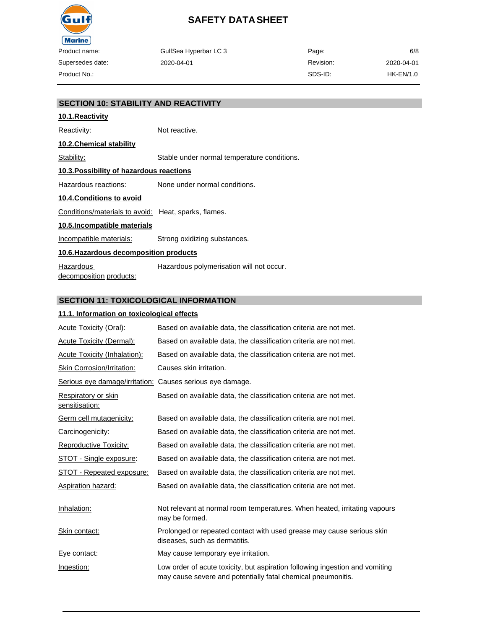

| GulfSea Hyperbar LC 3 | Page:     | 6/8        |
|-----------------------|-----------|------------|
| 2020-04-01            | Revision: | 2020-04-01 |
|                       | SDS-ID:   | HK-EN/1.0  |

# **SECTION 10: STABILITY AND REACTIVITY 10.1.Reactivity** Reactivity: Not reactive. **10.2.Chemical stability** Stability: Stable under normal temperature conditions. **10.3.Possibility of hazardous reactions** Hazardous reactions: None under normal conditions. **10.4.Conditions to avoid** Conditions/materials to avoid: Heat, sparks, flames. **10.5.Incompatible materials** Incompatible materials: Strong oxidizing substances. **10.6.Hazardous decomposition products** Hazardous decomposition products: Hazardous polymerisation will not occur.

# **SECTION 11: TOXICOLOGICAL INFORMATION**

### **11.1. Information on toxicological effects**

| <b>Acute Toxicity (Oral):</b>                             | Based on available data, the classification criteria are not met.                                                                            |
|-----------------------------------------------------------|----------------------------------------------------------------------------------------------------------------------------------------------|
| <b>Acute Toxicity (Dermal):</b>                           | Based on available data, the classification criteria are not met.                                                                            |
| Acute Toxicity (Inhalation):                              | Based on available data, the classification criteria are not met.                                                                            |
| Skin Corrosion/Irritation:                                | Causes skin irritation.                                                                                                                      |
| Serious eye damage/irritation: Causes serious eye damage. |                                                                                                                                              |
| Respiratory or skin<br>sensitisation:                     | Based on available data, the classification criteria are not met.                                                                            |
| Germ cell mutagenicity:                                   | Based on available data, the classification criteria are not met.                                                                            |
| Carcinogenicity:                                          | Based on available data, the classification criteria are not met.                                                                            |
| Reproductive Toxicity:                                    | Based on available data, the classification criteria are not met.                                                                            |
| <b>STOT - Single exposure:</b>                            | Based on available data, the classification criteria are not met.                                                                            |
| STOT - Repeated exposure:                                 | Based on available data, the classification criteria are not met.                                                                            |
| Aspiration hazard:                                        | Based on available data, the classification criteria are not met.                                                                            |
| Inhalation:                                               | Not relevant at normal room temperatures. When heated, irritating vapours<br>may be formed.                                                  |
| Skin contact:                                             | Prolonged or repeated contact with used grease may cause serious skin<br>diseases, such as dermatitis.                                       |
| Eye contact:                                              | May cause temporary eye irritation.                                                                                                          |
| Ingestion:                                                | Low order of acute toxicity, but aspiration following ingestion and vomiting<br>may cause severe and potentially fatal chemical pneumonitis. |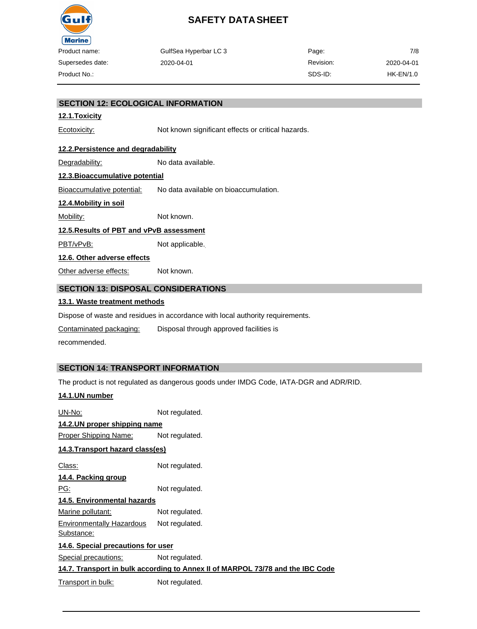

| uct name:     | GulfSea Hyperbar LC 3 | Page:     | 7/8        |
|---------------|-----------------------|-----------|------------|
| ersedes date: | 2020-04-01            | Revision: | 2020-04-01 |
| uct No.:      |                       | SDS-ID:   | HK-EN/1.0  |

### **SECTION 12: ECOLOGICAL INFORMATION**

### **12.1.Toxicity**

Ecotoxicity: Not known significant effects or critical hazards.

### **12.2.Persistence and degradability**

Degradability: No data available.

### **12.3.Bioaccumulative potential**

Bioaccumulative potential: No data available on bioaccumulation.

#### **12.4.Mobility in soil**

Mobility: Not known.

### **12.5.Results of PBT and vPvB assessment**

PBT/vPvB: Not applicable.

**12.6. Other adverse effects**

Other adverse effects: Not known.

# **SECTION 13: DISPOSAL CONSIDERATIONS**

### **13.1. Waste treatment methods**

Dispose of waste and residues in accordance with local authority requirements.

Contaminated packaging: Disposal through approved facilities is

recommended.

# **SECTION 14: TRANSPORT INFORMATION**

The product is not regulated as dangerous goods under IMDG Code, IATA-DGR and ADR/RID.

### **14.1.UN number**

| UN-No:                                                                         | Not regulated. |  |  |
|--------------------------------------------------------------------------------|----------------|--|--|
| 14.2.UN proper shipping name                                                   |                |  |  |
| Proper Shipping Name:                                                          | Not regulated. |  |  |
| 14.3.Transport hazard class(es)                                                |                |  |  |
| Class:                                                                         | Not regulated. |  |  |
| 14.4. Packing group                                                            |                |  |  |
| PG:                                                                            | Not regulated. |  |  |
| <u>14.5. Environmental hazards</u>                                             |                |  |  |
| <u>Marine pollutant:</u>                                                       | Not regulated. |  |  |
| <b>Environmentally Hazardous</b><br>Substance:                                 | Not regulated. |  |  |
| 14.6. Special precautions for user                                             |                |  |  |
| <b>Special precautions:</b>                                                    | Not regulated. |  |  |
| 14.7. Transport in bulk according to Annex II of MARPOL 73/78 and the IBC Code |                |  |  |
| Transport in bulk:                                                             | Not regulated. |  |  |